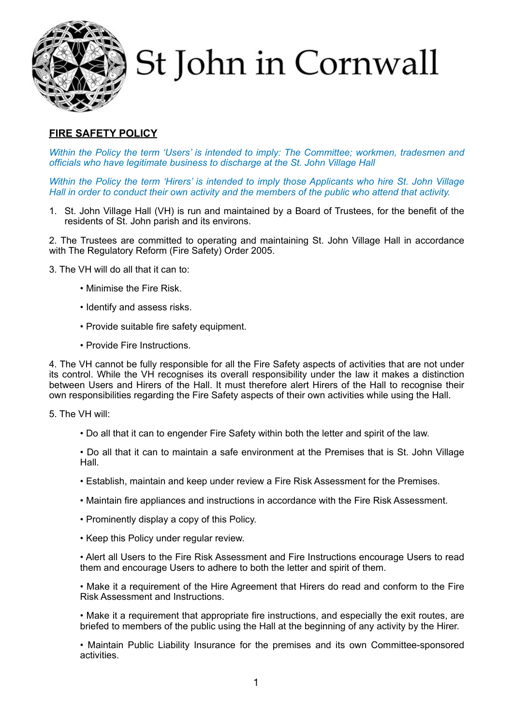

# St John in Cornwall

## **FIRE SAFETY POLICY**

*Within the Policy the term 'Users' is intended to imply: The Committee; workmen, tradesmen and officials who have legitimate business to discharge at the St. John Village Hall* 

*Within the Policy the term 'Hirers' is intended to imply those Applicants who hire St. John Village Hall in order to conduct their own activity and the members of the public who attend that activity.* 

1. St. John Village Hall (VH) is run and maintained by a Board of Trustees, for the benefit of the residents of St. John parish and its environs.

2. The Trustees are committed to operating and maintaining St. John Village Hall in accordance with The Regulatory Reform (Fire Safety) Order 2005.

3. The VH will do all that it can to:

- Minimise the Fire Risk.
- Identify and assess risks.
- Provide suitable fire safety equipment.
- Provide Fire Instructions.

4. The VH cannot be fully responsible for all the Fire Safety aspects of activities that are not under its control. While the VH recognises its overall responsibility under the law it makes a distinction between Users and Hirers of the Hall. It must therefore alert Hirers of the Hall to recognise their own responsibilities regarding the Fire Safety aspects of their own activities while using the Hall.

5. The VH will:

• Do all that it can to engender Fire Safety within both the letter and spirit of the law.

• Do all that it can to maintain a safe environment at the Premises that is St. John Village Hall.

- Establish, maintain and keep under review a Fire Risk Assessment for the Premises.
- Maintain fire appliances and instructions in accordance with the Fire Risk Assessment.
- Prominently display a copy of this Policy.
- Keep this Policy under regular review.

• Alert all Users to the Fire Risk Assessment and Fire Instructions encourage Users to read them and encourage Users to adhere to both the letter and spirit of them.

• Make it a requirement of the Hire Agreement that Hirers do read and conform to the Fire Risk Assessment and Instructions.

• Make it a requirement that appropriate fire instructions, and especially the exit routes, are briefed to members of the public using the Hall at the beginning of any activity by the Hirer.

• Maintain Public Liability Insurance for the premises and its own Committee-sponsored activities.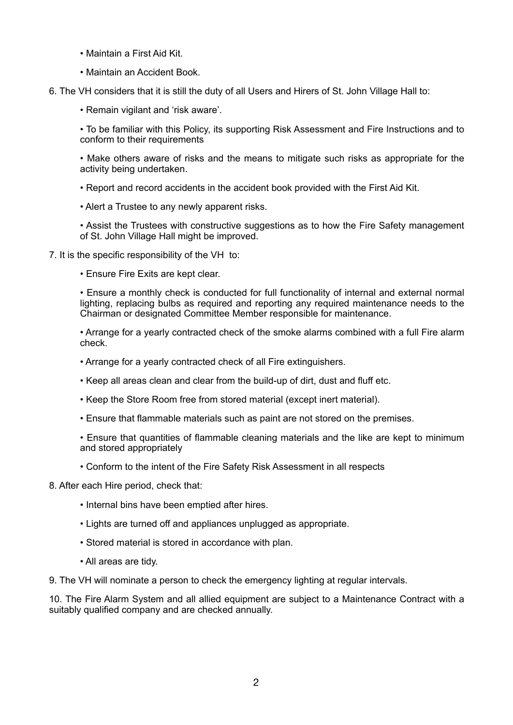- Maintain a First Aid Kit.
- Maintain an Accident Book.
- 6. The VH considers that it is still the duty of all Users and Hirers of St. John Village Hall to:
	- Remain vigilant and 'risk aware'.

• To be familiar with this Policy, its supporting Risk Assessment and Fire Instructions and to conform to their requirements

• Make others aware of risks and the means to mitigate such risks as appropriate for the activity being undertaken.

- Report and record accidents in the accident book provided with the First Aid Kit.
- Alert a Trustee to any newly apparent risks.
- Assist the Trustees with constructive suggestions as to how the Fire Safety management of St. John Village Hall might be improved.
- 7. It is the specific responsibility of the VH to:
	- Ensure Fire Exits are kept clear.

• Ensure a monthly check is conducted for full functionality of internal and external normal lighting, replacing bulbs as required and reporting any required maintenance needs to the Chairman or designated Committee Member responsible for maintenance.

• Arrange for a yearly contracted check of the smoke alarms combined with a full Fire alarm check.

- Arrange for a yearly contracted check of all Fire extinguishers.
- Keep all areas clean and clear from the build-up of dirt, dust and fluff etc.
- Keep the Store Room free from stored material (except inert material).
- Ensure that flammable materials such as paint are not stored on the premises.
- Ensure that quantities of flammable cleaning materials and the like are kept to minimum and stored appropriately
- Conform to the intent of the Fire Safety Risk Assessment in all respects
- 8. After each Hire period, check that:
	- Internal bins have been emptied after hires.
	- Lights are turned off and appliances unplugged as appropriate.
	- Stored material is stored in accordance with plan.
	- All areas are tidy.

9. The VH will nominate a person to check the emergency lighting at regular intervals.

10. The Fire Alarm System and all allied equipment are subject to a Maintenance Contract with a suitably qualified company and are checked annually.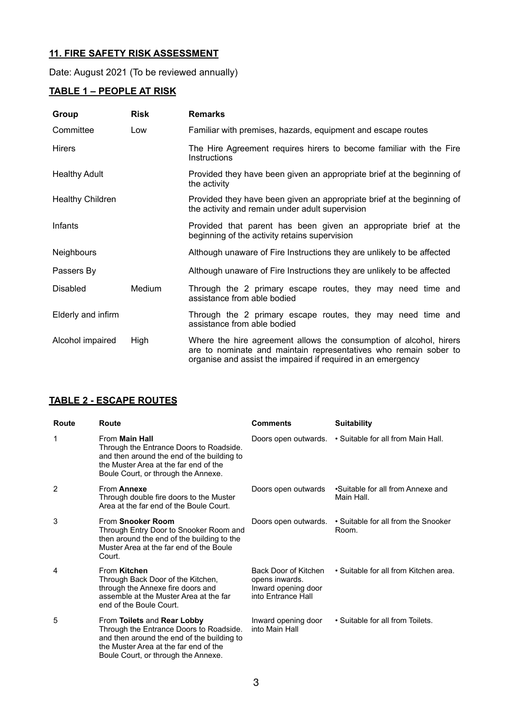### **11. FIRE SAFETY RISK ASSESSMENT**

Date: August 2021 (To be reviewed annually)

## **TABLE 1 – PEOPLE AT RISK**

| Group                   | <b>Risk</b> | <b>Remarks</b>                                                                                                                                                                                         |  |
|-------------------------|-------------|--------------------------------------------------------------------------------------------------------------------------------------------------------------------------------------------------------|--|
| Committee               | Low         | Familiar with premises, hazards, equipment and escape routes                                                                                                                                           |  |
| <b>Hirers</b>           |             | The Hire Agreement requires hirers to become familiar with the Fire<br>Instructions                                                                                                                    |  |
| <b>Healthy Adult</b>    |             | Provided they have been given an appropriate brief at the beginning of<br>the activity                                                                                                                 |  |
| <b>Healthy Children</b> |             | Provided they have been given an appropriate brief at the beginning of<br>the activity and remain under adult supervision                                                                              |  |
| Infants                 |             | Provided that parent has been given an appropriate brief at the<br>beginning of the activity retains supervision                                                                                       |  |
| <b>Neighbours</b>       |             | Although unaware of Fire Instructions they are unlikely to be affected                                                                                                                                 |  |
| Passers By              |             | Although unaware of Fire Instructions they are unlikely to be affected                                                                                                                                 |  |
| <b>Disabled</b>         | Medium      | Through the 2 primary escape routes, they may need time and<br>assistance from able bodied                                                                                                             |  |
| Elderly and infirm      |             | Through the 2 primary escape routes, they may need time and<br>assistance from able bodied                                                                                                             |  |
| Alcohol impaired        | High        | Where the hire agreement allows the consumption of alcohol, hirers<br>are to nominate and maintain representatives who remain sober to<br>organise and assist the impaired if required in an emergency |  |

#### **TABLE 2 - ESCAPE ROUTES**

| Route | Route                                                                                                                                                                                                | <b>Comments</b>                                                                     | <b>Suitability</b>                                                |
|-------|------------------------------------------------------------------------------------------------------------------------------------------------------------------------------------------------------|-------------------------------------------------------------------------------------|-------------------------------------------------------------------|
| 1     | From Main Hall<br>Through the Entrance Doors to Roadside.<br>and then around the end of the building to<br>the Muster Area at the far end of the<br>Boule Court, or through the Annexe.              |                                                                                     | Doors open outwards. . Suitable for all from Main Hall.           |
| 2     | From Annexe<br>Through double fire doors to the Muster<br>Area at the far end of the Boule Court.                                                                                                    | Doors open outwards                                                                 | •Suitable for all from Annexe and<br>Main Hall.                   |
| 3     | From Snooker Room<br>Through Entry Door to Snooker Room and<br>then around the end of the building to the<br>Muster Area at the far end of the Boule<br>Court.                                       |                                                                                     | Doors open outwards. . Suitable for all from the Snooker<br>Room. |
| 4     | From Kitchen<br>Through Back Door of the Kitchen,<br>through the Annexe fire doors and<br>assemble at the Muster Area at the far<br>end of the Boule Court.                                          | Back Door of Kitchen<br>opens inwards.<br>Inward opening door<br>into Entrance Hall | • Suitable for all from Kitchen area.                             |
| 5     | From Toilets and Rear Lobby<br>Through the Entrance Doors to Roadside.<br>and then around the end of the building to<br>the Muster Area at the far end of the<br>Boule Court, or through the Annexe. | Inward opening door<br>into Main Hall                                               | • Suitable for all from Toilets.                                  |